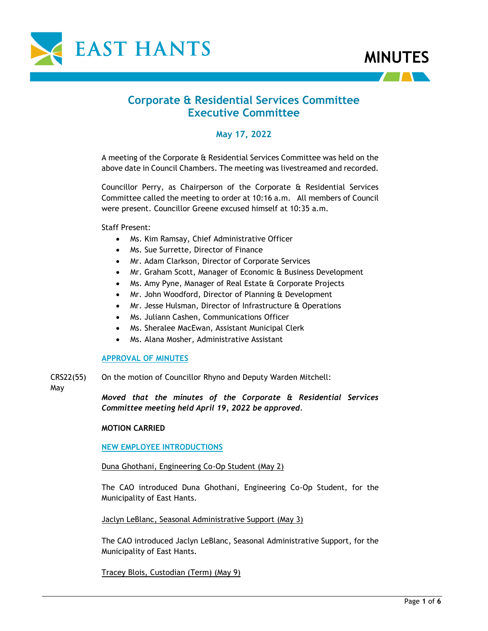



# **Corporate & Residential Services Committee Executive Committee**

# **May 17, 2022**

A meeting of the Corporate & Residential Services Committee was held on the above date in Council Chambers. The meeting was livestreamed and recorded.

Councillor Perry, as Chairperson of the Corporate & Residential Services Committee called the meeting to order at 10:16 a.m. All members of Council were present. Councillor Greene excused himself at 10:35 a.m.

Staff Present:

- Ms. Kim Ramsay, Chief Administrative Officer
- Ms. Sue Surrette, Director of Finance
- Mr. Adam Clarkson, Director of Corporate Services
- Mr. Graham Scott, Manager of Economic & Business Development
- Ms. Amy Pyne, Manager of Real Estate & Corporate Projects
- Mr. John Woodford, Director of Planning & Development
- Mr. Jesse Hulsman, Director of Infrastructure & Operations
- Ms. Juliann Cashen, Communications Officer
- Ms. Sheralee MacEwan, Assistant Municipal Clerk
- Ms. Alana Mosher, Administrative Assistant

#### **APPROVAL OF MINUTES**

CRS22(55) On the motion of Councillor Rhyno and Deputy Warden Mitchell:

May

*Moved that the minutes of the Corporate & Residential Services Committee meeting held April 19, 2022 be approved.*

#### **MOTION CARRIED**

#### **NEW EMPLOYEE INTRODUCTIONS**

#### Duna Ghothani, Engineering Co-Op Student (May 2)

The CAO introduced Duna Ghothani, Engineering Co-Op Student, for the Municipality of East Hants.

Jaclyn LeBlanc, Seasonal Administrative Support (May 3)

The CAO introduced Jaclyn LeBlanc, Seasonal Administrative Support, for the Municipality of East Hants.

Tracey Blois, Custodian (Term) (May 9)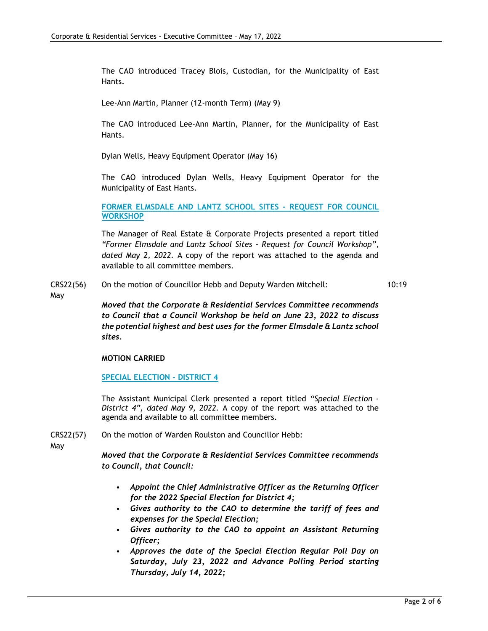The CAO introduced Tracey Blois, Custodian, for the Municipality of East Hants.

Lee-Ann Martin, Planner (12-month Term) (May 9)

The CAO introduced Lee-Ann Martin, Planner, for the Municipality of East Hants.

Dylan Wells, Heavy Equipment Operator (May 16)

The CAO introduced Dylan Wells, Heavy Equipment Operator for the Municipality of East Hants.

**FORMER ELMSDALE AND LANTZ SCHOOL SITES - REQUEST FOR COUNCIL WORKSHOP**

The Manager of Real Estate & Corporate Projects presented a report titled *"Former Elmsdale and Lantz School Sites – Request for Council Workshop", dated May 2, 2022.* A copy of the report was attached to the agenda and available to all committee members.

- CRS22(56) On the motion of Councillor Hebb and Deputy Warden Mitchell: 10:19
- May

*Moved that the Corporate & Residential Services Committee recommends to Council that a Council Workshop be held on June 23, 2022 to discuss the potential highest and best uses for the former Elmsdale & Lantz school sites.*

#### **MOTION CARRIED**

**SPECIAL ELECTION - DISTRICT 4**

The Assistant Municipal Clerk presented a report titled *"Special Election - District 4", dated May 9, 2022.* A copy of the report was attached to the agenda and available to all committee members.

CRS22(57) On the motion of Warden Roulston and Councillor Hebb:

May

*Moved that the Corporate & Residential Services Committee recommends to Council, that Council:*

- *Appoint the Chief Administrative Officer as the Returning Officer for the 2022 Special Election for District 4;*
- *Gives authority to the CAO to determine the tariff of fees and expenses for the Special Election;*
- *Gives authority to the CAO to appoint an Assistant Returning Officer;*
- *Approves the date of the Special Election Regular Poll Day on Saturday, July 23, 2022 and Advance Polling Period starting Thursday, July 14, 2022;*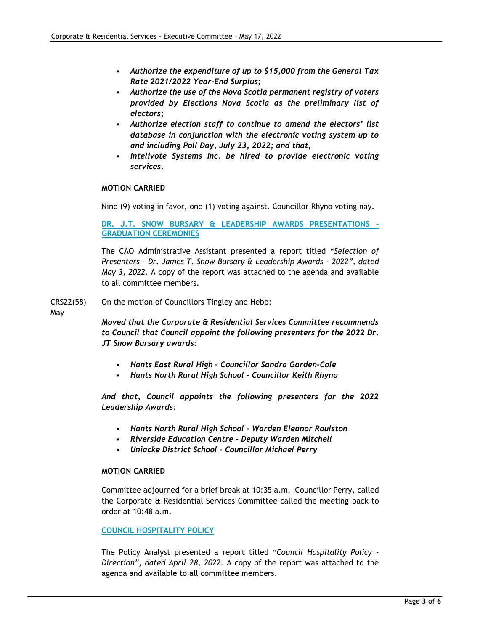- *Authorize the expenditure of up to \$15,000 from the General Tax Rate 2021/2022 Year-End Surplus;*
- *Authorize the use of the Nova Scotia permanent registry of voters provided by Elections Nova Scotia as the preliminary list of electors;*
- *Authorize election staff to continue to amend the electors' list database in conjunction with the electronic voting system up to and including Poll Day, July 23, 2022; and that,*
- *Intelivote Systems Inc. be hired to provide electronic voting services.*

#### **MOTION CARRIED**

Nine (9) voting in favor, one (1) voting against. Councillor Rhyno voting nay.

**DR. J.T. SNOW BURSARY & LEADERSHIP AWARDS PRESENTATIONS - GRADUATION CEREMONIES**

The CAO Administrative Assistant presented a report titled "*Selection of Presenters – Dr. James T. Snow Bursary & Leadership Awards - 2022", dated May 3, 2022.* A copy of the report was attached to the agenda and available to all committee members.

CRS22(58) On the motion of Councillors Tingley and Hebb:

May

*Moved that the Corporate & Residential Services Committee recommends to Council that Council appoint the following presenters for the 2022 Dr. JT Snow Bursary awards:* 

- *Hants East Rural High – Councillor Sandra Garden-Cole*
- *Hants North Rural High School – Councillor Keith Rhyno*

*And that, Council appoints the following presenters for the 2022 Leadership Awards:* 

- *Hants North Rural High School – Warden Eleanor Roulston*
- *Riverside Education Centre – Deputy Warden Mitchell*
- *Uniacke District School – Councillor Michael Perry*

#### **MOTION CARRIED**

Committee adjourned for a brief break at 10:35 a.m. Councillor Perry, called the Corporate & Residential Services Committee called the meeting back to order at 10:48 a.m.

### **COUNCIL HOSPITALITY POLICY**

The Policy Analyst presented a report titled "*Council Hospitality Policy - Direction", dated April 28, 2022.* A copy of the report was attached to the agenda and available to all committee members.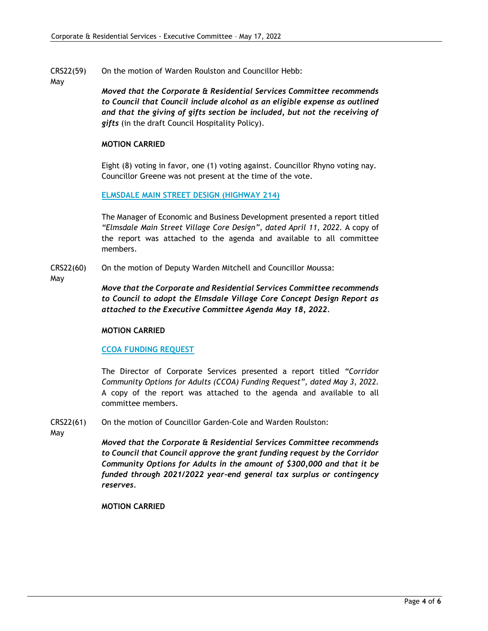- CRS22(59) On the motion of Warden Roulston and Councillor Hebb:
- May

*Moved that the Corporate & Residential Services Committee recommends to Council that Council include alcohol as an eligible expense as outlined and that the giving of gifts section be included, but not the receiving of gifts* (in the draft Council Hospitality Policy).

### **MOTION CARRIED**

Eight (8) voting in favor, one (1) voting against. Councillor Rhyno voting nay. Councillor Greene was not present at the time of the vote.

**ELMSDALE MAIN STREET DESIGN (HIGHWAY 214)**

The Manager of Economic and Business Development presented a report titled *"Elmsdale Main Street Village Core Design", dated April 11, 2022.* A copy of the report was attached to the agenda and available to all committee members.

- CRS22(60) On the motion of Deputy Warden Mitchell and Councillor Moussa:
- May

*Move that the Corporate and Residential Services Committee recommends to Council to adopt the Elmsdale Village Core Concept Design Report as attached to the Executive Committee Agenda May 18, 2022.*

# **MOTION CARRIED**

# **CCOA FUNDING REQUEST**

The Director of Corporate Services presented a report titled *"Corridor Community Options for Adults (CCOA) Funding Request", dated May 3, 2022.* A copy of the report was attached to the agenda and available to all committee members.

CRS22(61) On the motion of Councillor Garden-Cole and Warden Roulston:

May

*Moved that the Corporate & Residential Services Committee recommends to Council that Council approve the grant funding request by the Corridor Community Options for Adults in the amount of \$300,000 and that it be funded through 2021/2022 year-end general tax surplus or contingency reserves.* 

**MOTION CARRIED**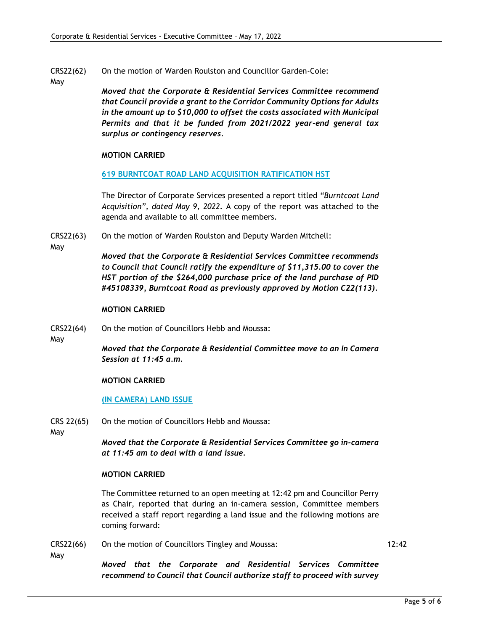- CRS22(62) On the motion of Warden Roulston and Councillor Garden-Cole:
- May

*Moved that the Corporate & Residential Services Committee recommend that Council provide a grant to the Corridor Community Options for Adults in the amount up to \$10,000 to offset the costs associated with Municipal Permits and that it be funded from 2021/2022 year-end general tax surplus or contingency reserves.*

### **MOTION CARRIED**

#### **619 BURNTCOAT ROAD LAND ACQUISITION RATIFICATION HST**

The Director of Corporate Services presented a report titled *"Burntcoat Land Acquisition", dated May 9, 2022.* A copy of the report was attached to the agenda and available to all committee members.

- CRS22(63) On the motion of Warden Roulston and Deputy Warden Mitchell:
- May

*Moved that the Corporate & Residential Services Committee recommends to Council that Council ratify the expenditure of \$11,315.00 to cover the HST portion of the \$264,000 purchase price of the land purchase of PID #45108339, Burntcoat Road as previously approved by Motion C22(113).*

#### **MOTION CARRIED**

CRS22(64) On the motion of Councillors Hebb and Moussa:

May

*Moved that the Corporate & Residential Committee move to an In Camera Session at 11:45 a.m.*

### **MOTION CARRIED**

### **(IN CAMERA) LAND ISSUE**

CRS 22(65) On the motion of Councillors Hebb and Moussa:

May

May

*Moved that the Corporate & Residential Services Committee go in-camera at 11:45 am to deal with a land issue.* 

#### **MOTION CARRIED**

The Committee returned to an open meeting at 12:42 pm and Councillor Perry as Chair, reported that during an in-camera session, Committee members received a staff report regarding a land issue and the following motions are coming forward:

CRS22(66) On the motion of Councillors Tingley and Moussa: 12:42

*Moved that the Corporate and Residential Services Committee recommend to Council that Council authorize staff to proceed with survey*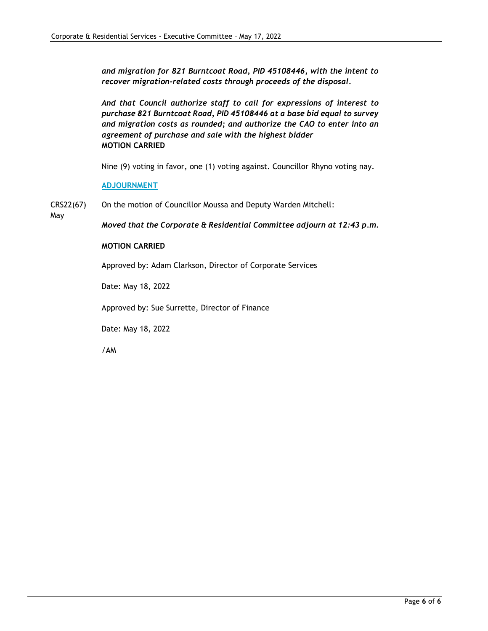*and migration for 821 Burntcoat Road, PID 45108446, with the intent to recover migration-related costs through proceeds of the disposal.*

*And that Council authorize staff to call for expressions of interest to purchase 821 Burntcoat Road, PID 45108446 at a base bid equal to survey and migration costs as rounded; and authorize the CAO to enter into an agreement of purchase and sale with the highest bidder* **MOTION CARRIED**

Nine (9) voting in favor, one (1) voting against. Councillor Rhyno voting nay.

**ADJOURNMENT**

CRS22(67) On the motion of Councillor Moussa and Deputy Warden Mitchell:

May

*Moved that the Corporate & Residential Committee adjourn at 12:43 p.m.*

#### **MOTION CARRIED**

Approved by: Adam Clarkson, Director of Corporate Services

Date: May 18, 2022

Approved by: Sue Surrette, Director of Finance

Date: May 18, 2022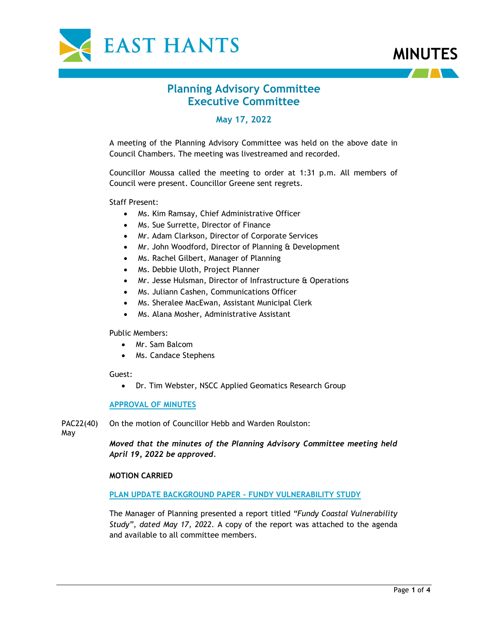



# **Planning Advisory Committee Executive Committee**

# **May 17, 2022**

A meeting of the Planning Advisory Committee was held on the above date in Council Chambers. The meeting was livestreamed and recorded.

Councillor Moussa called the meeting to order at 1:31 p.m. All members of Council were present. Councillor Greene sent regrets.

Staff Present:

- Ms. Kim Ramsay, Chief Administrative Officer
- Ms. Sue Surrette, Director of Finance
- Mr. Adam Clarkson, Director of Corporate Services
- Mr. John Woodford, Director of Planning & Development
- Ms. Rachel Gilbert, Manager of Planning
- Ms. Debbie Uloth, Project Planner
- Mr. Jesse Hulsman, Director of Infrastructure & Operations
- Ms. Juliann Cashen, Communications Officer
- Ms. Sheralee MacEwan, Assistant Municipal Clerk
- Ms. Alana Mosher, Administrative Assistant

Public Members:

- Mr. Sam Balcom
- Ms. Candace Stephens

#### Guest:

• Dr. Tim Webster, NSCC Applied Geomatics Research Group

#### **APPROVAL OF MINUTES**

PAC22(40) On the motion of Councillor Hebb and Warden Roulston:

May

*Moved that the minutes of the Planning Advisory Committee meeting held April 19, 2022 be approved.*

#### **MOTION CARRIED**

#### **PLAN UPDATE BACKGROUND PAPER - FUNDY VULNERABILITY STUDY**

The Manager of Planning presented a report titled *"Fundy Coastal Vulnerability Study", dated May 17, 2022.* A copy of the report was attached to the agenda and available to all committee members.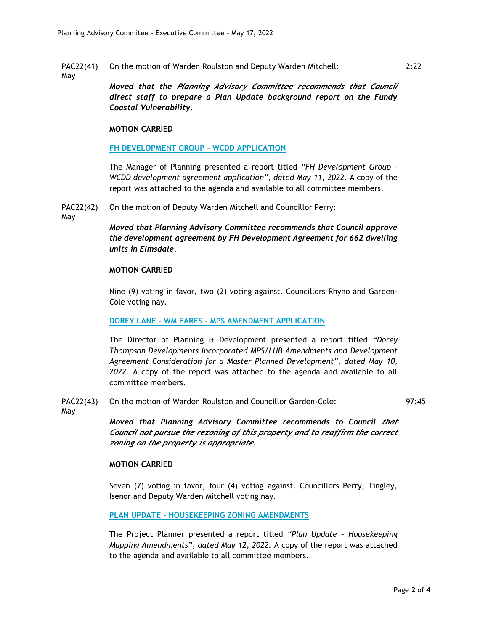PAC22(41) May On the motion of Warden Roulston and Deputy Warden Mitchell:

> *Moved that the Planning Advisory Committee recommends that Council direct staff to prepare a Plan Update background report on the Fundy Coastal Vulnerability.*

#### **MOTION CARRIED**

#### **FH DEVELOPMENT GROUP - WCDD APPLICATION**

The Manager of Planning presented a report titled *"FH Development Group – WCDD development agreement application", dated May 11, 2022.* A copy of the report was attached to the agenda and available to all committee members.

PAC22(42) On the motion of Deputy Warden Mitchell and Councillor Perry:

May

*Moved that Planning Advisory Committee recommends that Council approve the development agreement by FH Development Agreement for 662 dwelling units in Elmsdale.*

#### **MOTION CARRIED**

Nine (9) voting in favor, two (2) voting against. Councillors Rhyno and Garden-Cole voting nay.

#### **DOREY LANE - WM FARES - MPS AMENDMENT APPLICATION**

The Director of Planning & Development presented a report titled *"Dorey Thompson Developments Incorporated MPS/LUB Amendments and Development Agreement Consideration for a Master Planned Development", dated May 10, 2022.* A copy of the report was attached to the agenda and available to all committee members.

#### PAC22(43) On the motion of Warden Roulston and Councillor Garden-Cole:

May

*Moved that Planning Advisory Committee recommends to Council that Council not pursue the rezoning of this property and to reaffirm the correct zoning on the property is appropriate.*

#### **MOTION CARRIED**

Seven (7) voting in favor, four (4) voting against. Councillors Perry, Tingley, Isenor and Deputy Warden Mitchell voting nay.

**PLAN UPDATE - HOUSEKEEPING ZONING AMENDMENTS**

The Project Planner presented a report titled *"Plan Update – Housekeeping Mapping Amendments", dated May 12, 2022.* A copy of the report was attached to the agenda and available to all committee members.

97:45

2:22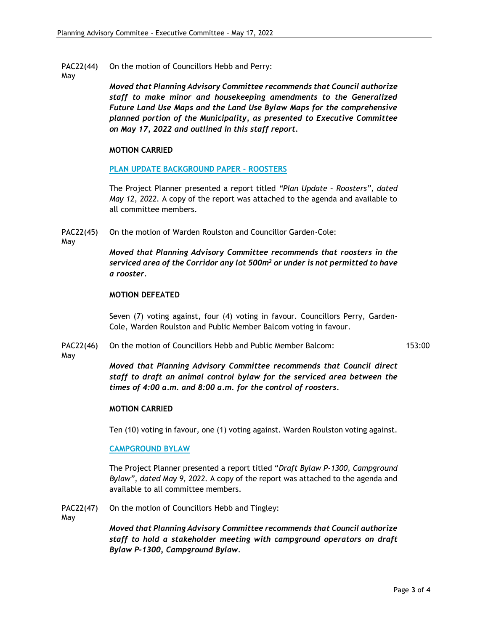- PAC22(44) On the motion of Councillors Hebb and Perry:
- May

*Moved that Planning Advisory Committee recommends that Council authorize staff to make minor and housekeeping amendments to the Generalized Future Land Use Maps and the Land Use Bylaw Maps for the comprehensive planned portion of the Municipality, as presented to Executive Committee on May 17, 2022 and outlined in this staff report.*

#### **MOTION CARRIED**

#### **PLAN UPDATE BACKGROUND PAPER - ROOSTERS**

The Project Planner presented a report titled *"Plan Update – Roosters", dated May 12, 2022.* A copy of the report was attached to the agenda and available to all committee members.

PAC22(45) On the motion of Warden Roulston and Councillor Garden-Cole:

May

*Moved that Planning Advisory Committee recommends that roosters in the serviced area of the Corridor any lot 500m<sup>2</sup> or under is not permitted to have a rooster.*

#### **MOTION DEFEATED**

Seven (7) voting against, four (4) voting in favour. Councillors Perry, Garden-Cole, Warden Roulston and Public Member Balcom voting in favour.

PAC22(46) On the motion of Councillors Hebb and Public Member Balcom: 153:00

May

*Moved that Planning Advisory Committee recommends that Council direct staff to draft an animal control bylaw for the serviced area between the times of 4:00 a.m. and 8:00 a.m. for the control of roosters.*

#### **MOTION CARRIED**

Ten (10) voting in favour, one (1) voting against. Warden Roulston voting against.

#### **CAMPGROUND BYLAW**

The Project Planner presented a report titled "*Draft Bylaw P-1300, Campground Bylaw", dated May 9, 2022.* A copy of the report was attached to the agenda and available to all committee members.

PAC22(47) On the motion of Councillors Hebb and Tingley:

May

*Moved that Planning Advisory Committee recommends that Council authorize staff to hold a stakeholder meeting with campground operators on draft Bylaw P-1300, Campground Bylaw.*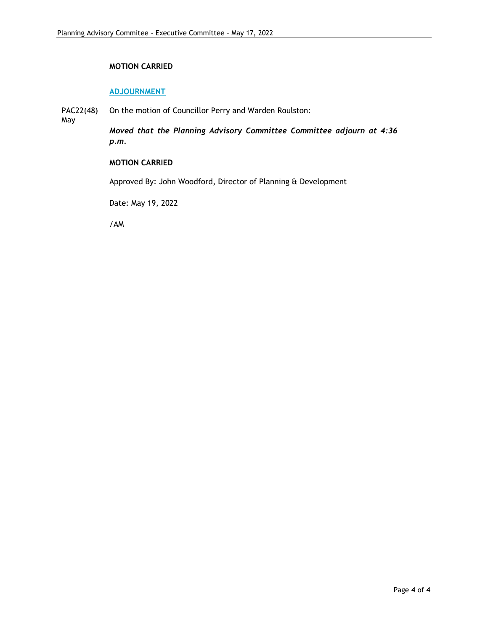### **MOTION CARRIED**

#### **ADJOURNMENT**

PAC22(48) On the motion of Councillor Perry and Warden Roulston:

May

*Moved that the Planning Advisory Committee Committee adjourn at 4:36 p.m.*

### **MOTION CARRIED**

Approved By: John Woodford, Director of Planning & Development

Date: May 19, 2022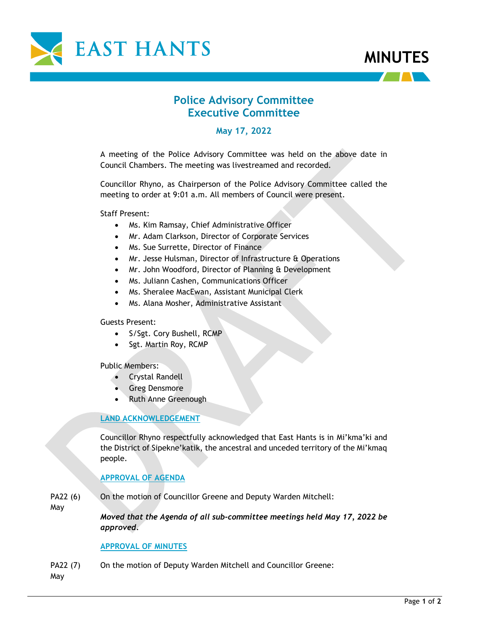



# **Police Advisory Committee Executive Committee**

**May 17, 2022**

A meeting of the Police Advisory Committee was held on the above date in Council Chambers. The meeting was livestreamed and recorded.

Councillor Rhyno, as Chairperson of the Police Advisory Committee called the meeting to order at 9:01 a.m. All members of Council were present.

Staff Present:

- Ms. Kim Ramsay, Chief Administrative Officer
- Mr. Adam Clarkson, Director of Corporate Services
- Ms. Sue Surrette, Director of Finance
- Mr. Jesse Hulsman, Director of Infrastructure & Operations
- Mr. John Woodford, Director of Planning & Development
- Ms. Juliann Cashen, Communications Officer
- Ms. Sheralee MacEwan, Assistant Municipal Clerk
- Ms. Alana Mosher, Administrative Assistant

Guests Present:

- S/Sgt. Cory Bushell, RCMP
- Sgt. Martin Roy, RCMP

Public Members:

- Crystal Randell
- Greg Densmore
- Ruth Anne Greenough

# **LAND ACKNOWLEDGEMENT**

Councillor Rhyno respectfully acknowledged that East Hants is in Mi'kma'ki and the District of Sipekne'katik, the ancestral and unceded territory of the Mi'kmaq people.

### **APPROVAL OF AGENDA**

PA22 (6) On the motion of Councillor Greene and Deputy Warden Mitchell:

May

*Moved that the Agenda of all sub-committee meetings held May 17, 2022 be approved.*

### **APPROVAL OF MINUTES**

PA22 (7) On the motion of Deputy Warden Mitchell and Councillor Greene:

May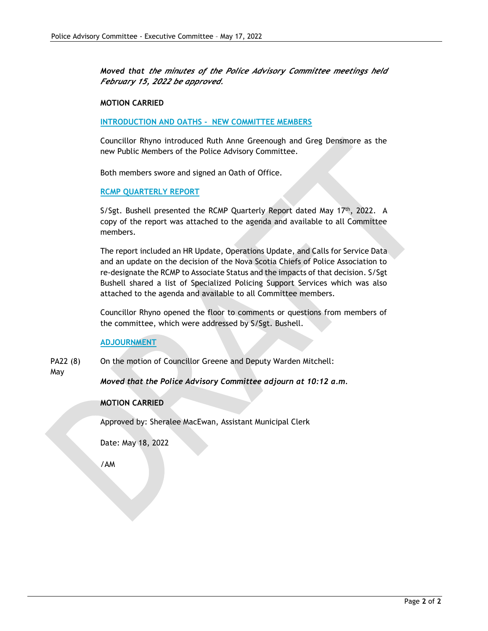*Moved that the minutes of the Police Advisory Committee meetings held February 15, 2022 be approved.*

#### **MOTION CARRIED**

#### **INTRODUCTION AND OATHS - NEW COMMITTEE MEMBERS**

Councillor Rhyno introduced Ruth Anne Greenough and Greg Densmore as the new Public Members of the Police Advisory Committee.

Both members swore and signed an Oath of Office.

#### **RCMP QUARTERLY REPORT**

S/Sgt. Bushell presented the RCMP Quarterly Report dated May  $17<sup>th</sup>$ , 2022. A copy of the report was attached to the agenda and available to all Committee members.

The report included an HR Update, Operations Update, and Calls for Service Data and an update on the decision of the Nova Scotia Chiefs of Police Association to re-designate the RCMP to Associate Status and the impacts of that decision. S/Sgt Bushell shared a list of Specialized Policing Support Services which was also attached to the agenda and available to all Committee members.

Councillor Rhyno opened the floor to comments or questions from members of the committee, which were addressed by S/Sgt. Bushell.

**ADJOURNMENT**

PA22 (8) On the motion of Councillor Greene and Deputy Warden Mitchell:

#### May

*Moved that the Police Advisory Committee adjourn at 10:12 a.m.*

#### **MOTION CARRIED**

Approved by: Sheralee MacEwan, Assistant Municipal Clerk

Date: May 18, 2022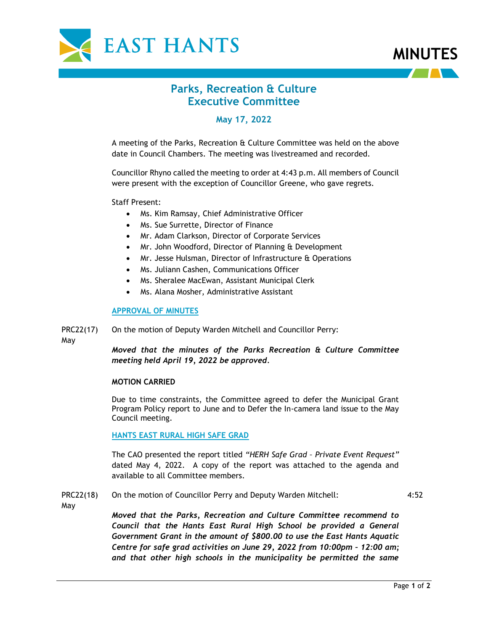



# **Parks, Recreation & Culture Executive Committee**

# **May 17, 2022**

A meeting of the Parks, Recreation & Culture Committee was held on the above date in Council Chambers. The meeting was livestreamed and recorded.

Councillor Rhyno called the meeting to order at 4:43 p.m. All members of Council were present with the exception of Councillor Greene, who gave regrets.

Staff Present:

- Ms. Kim Ramsay, Chief Administrative Officer
- Ms. Sue Surrette, Director of Finance
- Mr. Adam Clarkson, Director of Corporate Services
- Mr. John Woodford, Director of Planning & Development
- Mr. Jesse Hulsman, Director of Infrastructure & Operations
- Ms. Juliann Cashen, Communications Officer
- Ms. Sheralee MacEwan, Assistant Municipal Clerk
- Ms. Alana Mosher, Administrative Assistant

#### **APPROVAL OF MINUTES**

PRC22(17) On the motion of Deputy Warden Mitchell and Councillor Perry:

May

*Moved that the minutes of the Parks Recreation & Culture Committee meeting held April 19, 2022 be approved.*

#### **MOTION CARRIED**

Due to time constraints, the Committee agreed to defer the Municipal Grant Program Policy report to June and to Defer the In-camera land issue to the May Council meeting.

#### **HANTS EAST RURAL HIGH SAFE GRAD**

The CAO presented the report titled *"HERH Safe Grad – Private Event Request"* dated May 4, 2022. A copy of the report was attached to the agenda and available to all Committee members.

#### PRC22(18) On the motion of Councillor Perry and Deputy Warden Mitchell:

4:52

May

*Moved that the Parks, Recreation and Culture Committee recommend to Council that the Hants East Rural High School be provided a General Government Grant in the amount of \$800.00 to use the East Hants Aquatic Centre for safe grad activities on June 29, 2022 from 10:00pm – 12:00 am; and that other high schools in the municipality be permitted the same*